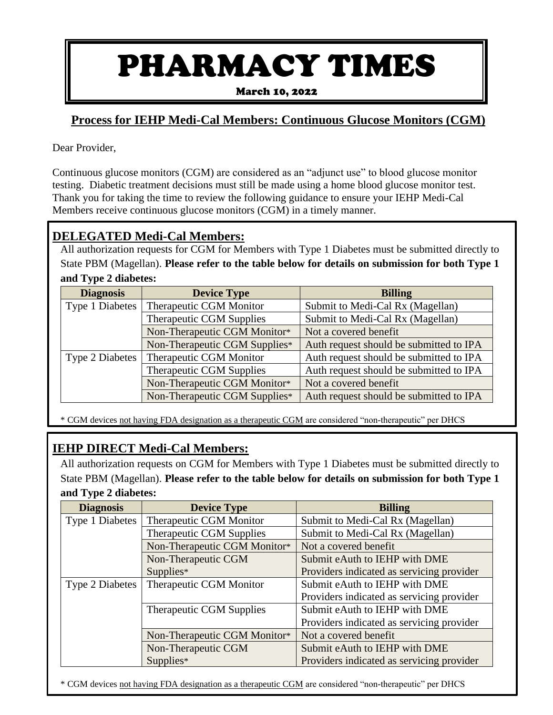# PHARMACY TIMES

March 10, 2022

## **Process for IEHP Medi-Cal Members: Continuous Glucose Monitors (CGM)**

Dear Provider,

Continuous glucose monitors (CGM) are considered as an "adjunct use" to blood glucose monitor testing. Diabetic treatment decisions must still be made using a home blood glucose monitor test. Thank you for taking the time to review the following guidance to ensure your IEHP Medi-Cal Members receive continuous glucose monitors (CGM) in a timely manner.

#### **DELEGATED Medi-Cal Members:**

All authorization requests for CGM for Members with Type 1 Diabetes must be submitted directly to State PBM (Magellan). **Please refer to the table below for details on submission for both Type 1 and Type 2 diabetes:**

| <b>Diagnosis</b>       | <b>Device Type</b>              | <b>Billing</b>                          |  |
|------------------------|---------------------------------|-----------------------------------------|--|
| Type 1 Diabetes        | Therapeutic CGM Monitor         | Submit to Medi-Cal Rx (Magellan)        |  |
|                        | <b>Therapeutic CGM Supplies</b> | Submit to Medi-Cal Rx (Magellan)        |  |
|                        | Non-Therapeutic CGM Monitor*    | Not a covered benefit                   |  |
|                        | Non-Therapeutic CGM Supplies*   | Auth request should be submitted to IPA |  |
| <b>Type 2 Diabetes</b> | Therapeutic CGM Monitor         | Auth request should be submitted to IPA |  |
|                        | <b>Therapeutic CGM Supplies</b> | Auth request should be submitted to IPA |  |
|                        | Non-Therapeutic CGM Monitor*    | Not a covered benefit                   |  |
|                        | Non-Therapeutic CGM Supplies*   | Auth request should be submitted to IPA |  |

\* CGM devices not having FDA designation as a therapeutic CGM are considered "non-therapeutic" per DHCS

## **IEHP DIRECT Medi-Cal Members:**

All authorization requests on CGM for Members with Type 1 Diabetes must be submitted directly to State PBM (Magellan). **Please refer to the table below for details on submission for both Type 1 and Type 2 diabetes:**

| <b>Diagnosis</b>       | <b>Device Type</b>              | <b>Billing</b>                            |  |
|------------------------|---------------------------------|-------------------------------------------|--|
| Type 1 Diabetes        | Therapeutic CGM Monitor         | Submit to Medi-Cal Rx (Magellan)          |  |
|                        | <b>Therapeutic CGM Supplies</b> | Submit to Medi-Cal Rx (Magellan)          |  |
|                        | Non-Therapeutic CGM Monitor*    | Not a covered benefit                     |  |
|                        | Non-Therapeutic CGM             | Submit eAuth to IEHP with DME             |  |
|                        | Supplies*                       | Providers indicated as servicing provider |  |
| <b>Type 2 Diabetes</b> | Therapeutic CGM Monitor         | Submit eAuth to IEHP with DME             |  |
|                        |                                 | Providers indicated as servicing provider |  |
|                        | <b>Therapeutic CGM Supplies</b> | Submit eAuth to IEHP with DME             |  |
|                        |                                 | Providers indicated as servicing provider |  |
|                        | Non-Therapeutic CGM Monitor*    | Not a covered benefit                     |  |
|                        | Non-Therapeutic CGM             | Submit eAuth to IEHP with DME             |  |
|                        | Supplies*                       | Providers indicated as servicing provider |  |

\* CGM devices not having FDA designation as a therapeutic CGM are considered "non-therapeutic" per DHCS